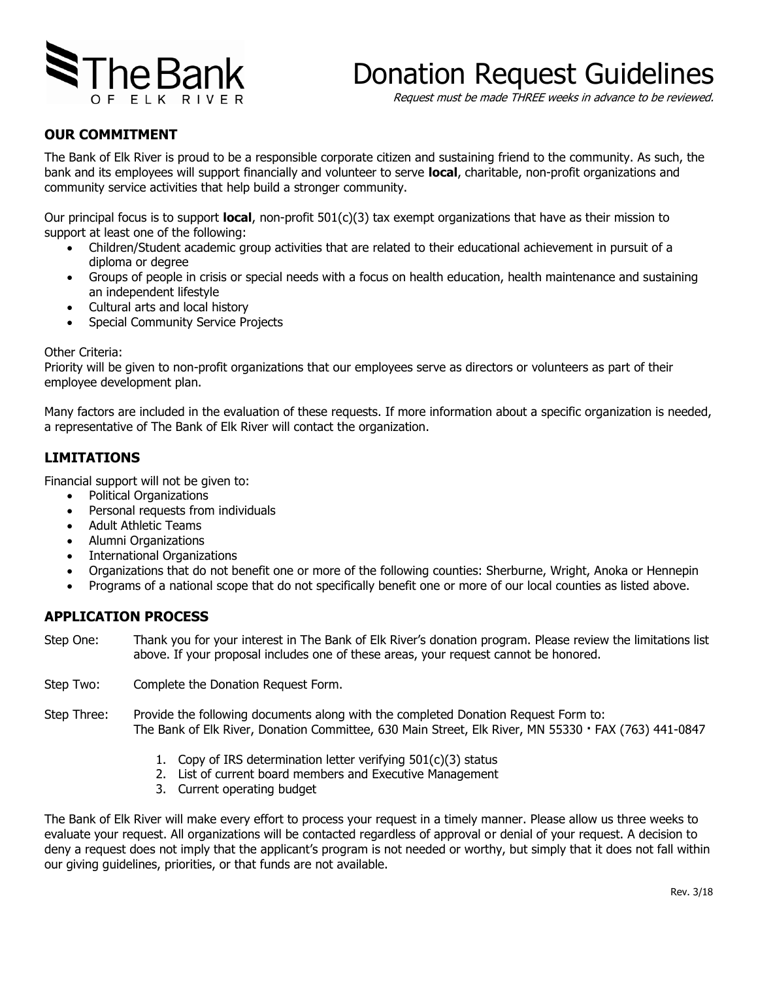

# Donation Request Guidelines

Request must be made THREE weeks in advance to be reviewed.

### **OUR COMMITMENT**

The Bank of Elk River is proud to be a responsible corporate citizen and sustaining friend to the community. As such, the bank and its employees will support financially and volunteer to serve **local**, charitable, non-profit organizations and community service activities that help build a stronger community.

Our principal focus is to support **local**, non-profit 501(c)(3) tax exempt organizations that have as their mission to support at least one of the following:

- Children/Student academic group activities that are related to their educational achievement in pursuit of a diploma or degree
- Groups of people in crisis or special needs with a focus on health education, health maintenance and sustaining an independent lifestyle
- Cultural arts and local history
- Special Community Service Projects

#### Other Criteria:

Priority will be given to non-profit organizations that our employees serve as directors or volunteers as part of their employee development plan.

Many factors are included in the evaluation of these requests. If more information about a specific organization is needed, a representative of The Bank of Elk River will contact the organization.

## **LIMITATIONS**

Financial support will not be given to:

- Political Organizations
- Personal requests from individuals
- Adult Athletic Teams
- Alumni Organizations
- International Organizations
- Organizations that do not benefit one or more of the following counties: Sherburne, Wright, Anoka or Hennepin
- Programs of a national scope that do not specifically benefit one or more of our local counties as listed above.

#### **APPLICATION PROCESS**

- Step One: Thank you for your interest in The Bank of Elk River's donation program. Please review the limitations list above. If your proposal includes one of these areas, your request cannot be honored.
- Step Two: Complete the Donation Request Form.
- Step Three: Provide the following documents along with the completed Donation Request Form to: The Bank of Elk River, Donation Committee, 630 Main Street, Elk River, MN 55330 **·** FAX (763) 441-0847
	- 1. Copy of IRS determination letter verifying 501(c)(3) status
	- 2. List of current board members and Executive Management
	- 3. Current operating budget

The Bank of Elk River will make every effort to process your request in a timely manner. Please allow us three weeks to evaluate your request. All organizations will be contacted regardless of approval or denial of your request. A decision to deny a request does not imply that the applicant's program is not needed or worthy, but simply that it does not fall within our giving guidelines, priorities, or that funds are not available.